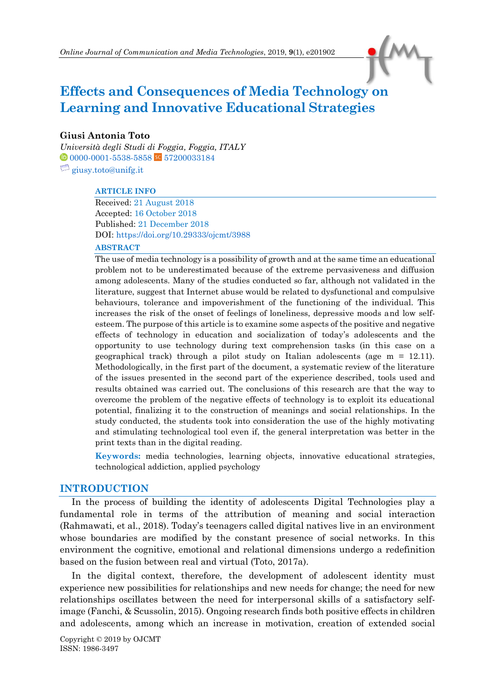# **Effects and Consequences of Media Technology on Learning and Innovative Educational Strategies**

#### **Giusi Antonia Toto**

*Università degli Studi di Foggia, Foggia, ITALY* <sup>1</sup> [0000-0001-5538-5858](https://orcid.org/0000-0001-5538-5858) <sup>5c</sup> [57200033184](https://www.scopus.com/authid/detail.uri?authorId=57200033184)  $\Box$  [giusy.toto@unifg.it](mailto:giusy.toto@unifg.it)

#### **ARTICLE INFO**

Received: 21 August 2018 Accepted: 16 October 2018 Published: 21 December 2018 DOI[: https://doi.org/10.29333/ojcmt/3988](https://doi.org/10.29333/ojcmt/3988)

#### **ABSTRACT**

The use of media technology is a possibility of growth and at the same time an educational problem not to be underestimated because of the extreme pervasiveness and diffusion among adolescents. Many of the studies conducted so far, although not validated in the literature, suggest that Internet abuse would be related to dysfunctional and compulsive behaviours, tolerance and impoverishment of the functioning of the individual. This increases the risk of the onset of feelings of loneliness, depressive moods and low selfesteem. The purpose of this article is to examine some aspects of the positive and negative effects of technology in education and socialization of today's adolescents and the opportunity to use technology during text comprehension tasks (in this case on a geographical track) through a pilot study on Italian adolescents (age  $m = 12.11$ ). Methodologically, in the first part of the document, a systematic review of the literature of the issues presented in the second part of the experience described, tools used and results obtained was carried out. The conclusions of this research are that the way to overcome the problem of the negative effects of technology is to exploit its educational potential, finalizing it to the construction of meanings and social relationships. In the study conducted, the students took into consideration the use of the highly motivating and stimulating technological tool even if, the general interpretation was better in the print texts than in the digital reading.

**Keywords:** media technologies, learning objects, innovative educational strategies, technological addiction, applied psychology

### **INTRODUCTION**

In the process of building the identity of adolescents Digital Technologies play a fundamental role in terms of the attribution of meaning and social interaction (Rahmawati, et al., 2018). Today's teenagers called digital natives live in an environment whose boundaries are modified by the constant presence of social networks. In this environment the cognitive, emotional and relational dimensions undergo a redefinition based on the fusion between real and virtual (Toto, 2017a).

In the digital context, therefore, the development of adolescent identity must experience new possibilities for relationships and new needs for change; the need for new relationships oscillates between the need for interpersonal skills of a satisfactory selfimage (Fanchi, & Scussolin, 2015). Ongoing research finds both positive effects in children and adolescents, among which an increase in motivation, creation of extended social

Copyright © 2019 by OJCMT ISSN: 1986-3497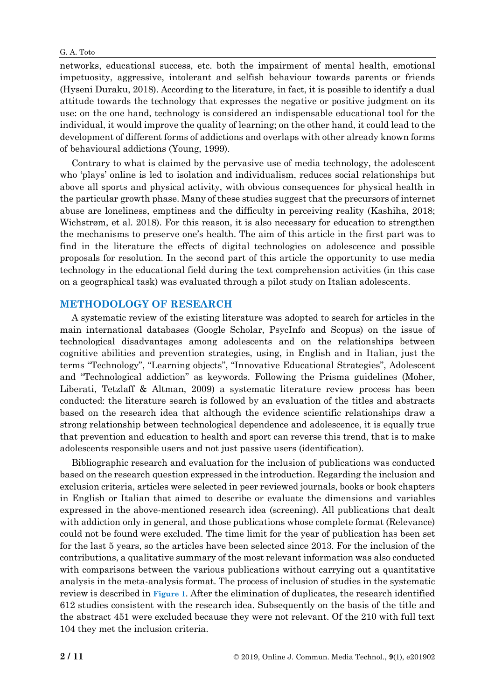networks, educational success, etc. both the impairment of mental health, emotional impetuosity, aggressive, intolerant and selfish behaviour towards parents or friends (Hyseni Duraku, 2018). According to the literature, in fact, it is possible to identify a dual attitude towards the technology that expresses the negative or positive judgment on its use: on the one hand, technology is considered an indispensable educational tool for the individual, it would improve the quality of learning; on the other hand, it could lead to the development of different forms of addictions and overlaps with other already known forms of behavioural addictions (Young, 1999).

Contrary to what is claimed by the pervasive use of media technology, the adolescent who 'plays' online is led to isolation and individualism, reduces social relationships but above all sports and physical activity, with obvious consequences for physical health in the particular growth phase. Many of these studies suggest that the precursors of internet abuse are loneliness, emptiness and the difficulty in perceiving reality (Kashiha, 2018; Wichstrøm, et al. 2018). For this reason, it is also necessary for education to strengthen the mechanisms to preserve one's health. The aim of this article in the first part was to find in the literature the effects of digital technologies on adolescence and possible proposals for resolution. In the second part of this article the opportunity to use media technology in the educational field during the text comprehension activities (in this case on a geographical task) was evaluated through a pilot study on Italian adolescents.

## **METHODOLOGY OF RESEARCH**

A systematic review of the existing literature was adopted to search for articles in the main international databases (Google Scholar, PsycInfo and Scopus) on the issue of technological disadvantages among adolescents and on the relationships between cognitive abilities and prevention strategies, using, in English and in Italian, just the terms "Technology", "Learning objects", "Innovative Educational Strategies", Adolescent and "Technological addiction" as keywords. Following the Prisma guidelines (Moher, Liberati, Tetzlaff & Altman, 2009) a systematic literature review process has been conducted: the literature search is followed by an evaluation of the titles and abstracts based on the research idea that although the evidence scientific relationships draw a strong relationship between technological dependence and adolescence, it is equally true that prevention and education to health and sport can reverse this trend, that is to make adolescents responsible users and not just passive users (identification).

Bibliographic research and evaluation for the inclusion of publications was conducted based on the research question expressed in the introduction. Regarding the inclusion and exclusion criteria, articles were selected in peer reviewed journals, books or book chapters in English or Italian that aimed to describe or evaluate the dimensions and variables expressed in the above-mentioned research idea (screening). All publications that dealt with addiction only in general, and those publications whose complete format (Relevance) could not be found were excluded. The time limit for the year of publication has been set for the last 5 years, so the articles have been selected since 2013. For the inclusion of the contributions, a qualitative summary of the most relevant information was also conducted with comparisons between the various publications without carrying out a quantitative analysis in the meta-analysis format. The process of inclusion of studies in the systematic review is described in **Figure 1**. After the elimination of duplicates, the research identified 612 studies consistent with the research idea. Subsequently on the basis of the title and the abstract 451 were excluded because they were not relevant. Of the 210 with full text 104 they met the inclusion criteria.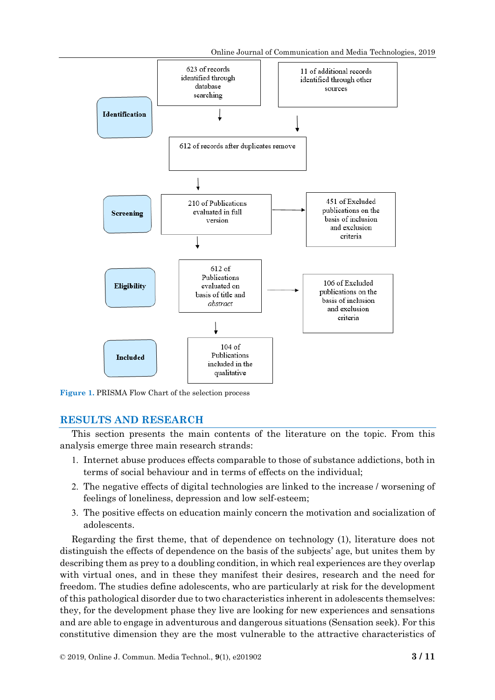Online Journal of Communication and Media Technologies, 2019



**Figure 1.** PRISMA Flow Chart of the selection process

# **RESULTS AND RESEARCH**

This section presents the main contents of the literature on the topic. From this analysis emerge three main research strands:

- 1. Internet abuse produces effects comparable to those of substance addictions, both in terms of social behaviour and in terms of effects on the individual;
- The negative effects of digital technologies are linked to the increase / worsening of feelings of loneliness, depression and low self-esteem;
- The positive effects on education mainly concern the motivation and socialization of adolescents.

Regarding the first theme, that of dependence on technology (1), literature does not distinguish the effects of dependence on the basis of the subjects' age, but unites them by describing them as prey to a doubling condition, in which real experiences are they overlap with virtual ones, and in these they manifest their desires, research and the need for freedom. The studies define adolescents, who are particularly at risk for the development of this pathological disorder due to two characteristics inherent in adolescents themselves: they, for the development phase they live are looking for new experiences and sensations and are able to engage in adventurous and dangerous situations (Sensation seek). For this constitutive dimension they are the most vulnerable to the attractive characteristics of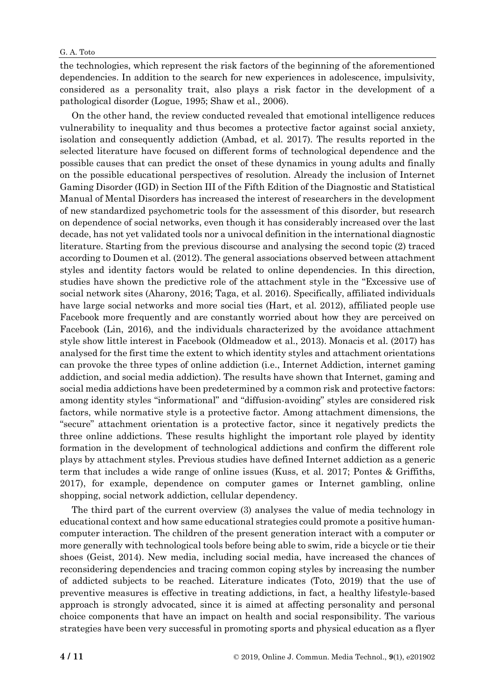the technologies, which represent the risk factors of the beginning of the aforementioned dependencies. In addition to the search for new experiences in adolescence, impulsivity, considered as a personality trait, also plays a risk factor in the development of a pathological disorder (Logue, 1995; Shaw et al., 2006).

On the other hand, the review conducted revealed that emotional intelligence reduces vulnerability to inequality and thus becomes a protective factor against social anxiety, isolation and consequently addiction (Ambad, et al. 2017). The results reported in the selected literature have focused on different forms of technological dependence and the possible causes that can predict the onset of these dynamics in young adults and finally on the possible educational perspectives of resolution. Already the inclusion of Internet Gaming Disorder (IGD) in Section III of the Fifth Edition of the Diagnostic and Statistical Manual of Mental Disorders has increased the interest of researchers in the development of new standardized psychometric tools for the assessment of this disorder, but research on dependence of social networks, even though it has considerably increased over the last decade, has not yet validated tools nor a univocal definition in the international diagnostic literature. Starting from the previous discourse and analysing the second topic (2) traced according to Doumen et al. (2012). The general associations observed between attachment styles and identity factors would be related to online dependencies. In this direction, studies have shown the predictive role of the attachment style in the "Excessive use of social network sites (Aharony, 2016; Taga, et al. 2016). Specifically, affiliated individuals have large social networks and more social ties (Hart, et al. 2012), affiliated people use Facebook more frequently and are constantly worried about how they are perceived on Facebook (Lin, 2016), and the individuals characterized by the avoidance attachment style show little interest in Facebook (Oldmeadow et al., 2013). Monacis et al. (2017) has analysed for the first time the extent to which identity styles and attachment orientations can provoke the three types of online addiction (i.e., Internet Addiction, internet gaming addiction, and social media addiction). The results have shown that Internet, gaming and social media addictions have been predetermined by a common risk and protective factors: among identity styles "informational" and "diffusion-avoiding" styles are considered risk factors, while normative style is a protective factor. Among attachment dimensions, the "secure" attachment orientation is a protective factor, since it negatively predicts the three online addictions. These results highlight the important role played by identity formation in the development of technological addictions and confirm the different role plays by attachment styles. Previous studies have defined Internet addiction as a generic term that includes a wide range of online issues (Kuss, et al. 2017; Pontes & Griffiths, 2017), for example, dependence on computer games or Internet gambling, online shopping, social network addiction, cellular dependency.

The third part of the current overview (3) analyses the value of media technology in educational context and how same educational strategies could promote a positive humancomputer interaction. The children of the present generation interact with a computer or more generally with technological tools before being able to swim, ride a bicycle or tie their shoes (Geist, 2014). New media, including social media, have increased the chances of reconsidering dependencies and tracing common coping styles by increasing the number of addicted subjects to be reached. Literature indicates (Toto, 2019) that the use of preventive measures is effective in treating addictions, in fact, a healthy lifestyle-based approach is strongly advocated, since it is aimed at affecting personality and personal choice components that have an impact on health and social responsibility. The various strategies have been very successful in promoting sports and physical education as a flyer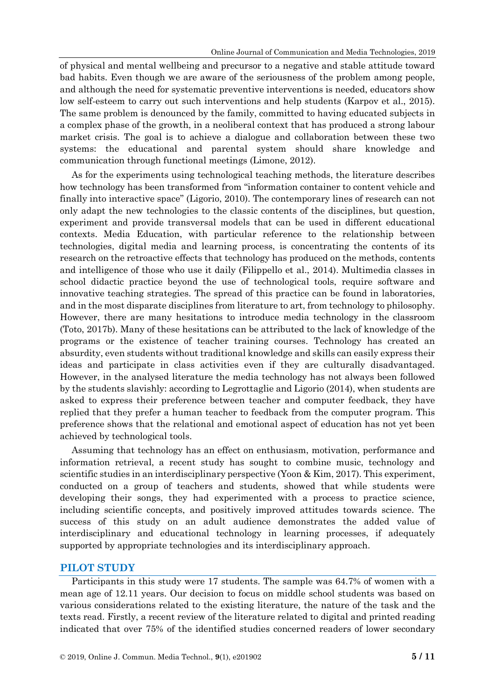of physical and mental wellbeing and precursor to a negative and stable attitude toward bad habits. Even though we are aware of the seriousness of the problem among people, and although the need for systematic preventive interventions is needed, educators show low self-esteem to carry out such interventions and help students (Karpov et al., 2015). The same problem is denounced by the family, committed to having educated subjects in a complex phase of the growth, in a neoliberal context that has produced a strong labour market crisis. The goal is to achieve a dialogue and collaboration between these two systems: the educational and parental system should share knowledge and communication through functional meetings (Limone, 2012).

As for the experiments using technological teaching methods, the literature describes how technology has been transformed from "information container to content vehicle and finally into interactive space" (Ligorio, 2010). The contemporary lines of research can not only adapt the new technologies to the classic contents of the disciplines, but question, experiment and provide transversal models that can be used in different educational contexts. Media Education, with particular reference to the relationship between technologies, digital media and learning process, is concentrating the contents of its research on the retroactive effects that technology has produced on the methods, contents and intelligence of those who use it daily (Filippello et al., 2014). Multimedia classes in school didactic practice beyond the use of technological tools, require software and innovative teaching strategies. The spread of this practice can be found in laboratories, and in the most disparate disciplines from literature to art, from technology to philosophy. However, there are many hesitations to introduce media technology in the classroom (Toto, 2017b). Many of these hesitations can be attributed to the lack of knowledge of the programs or the existence of teacher training courses. Technology has created an absurdity, even students without traditional knowledge and skills can easily express their ideas and participate in class activities even if they are culturally disadvantaged. However, in the analysed literature the media technology has not always been followed by the students slavishly: according to Legrottaglie and Ligorio (2014), when students are asked to express their preference between teacher and computer feedback, they have replied that they prefer a human teacher to feedback from the computer program. This preference shows that the relational and emotional aspect of education has not yet been achieved by technological tools.

Assuming that technology has an effect on enthusiasm, motivation, performance and information retrieval, a recent study has sought to combine music, technology and scientific studies in an interdisciplinary perspective (Yoon & Kim, 2017). This experiment, conducted on a group of teachers and students, showed that while students were developing their songs, they had experimented with a process to practice science, including scientific concepts, and positively improved attitudes towards science. The success of this study on an adult audience demonstrates the added value of interdisciplinary and educational technology in learning processes, if adequately supported by appropriate technologies and its interdisciplinary approach.

## **PILOT STUDY**

Participants in this study were 17 students. The sample was 64.7% of women with a mean age of 12.11 years. Our decision to focus on middle school students was based on various considerations related to the existing literature, the nature of the task and the texts read. Firstly, a recent review of the literature related to digital and printed reading indicated that over 75% of the identified studies concerned readers of lower secondary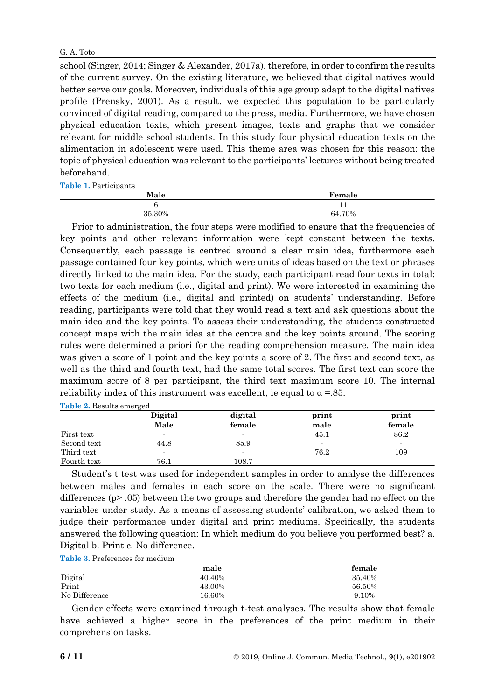school (Singer, 2014; Singer & Alexander, 2017a), therefore, in order to confirm the results of the current survey. On the existing literature, we believed that digital natives would better serve our goals. Moreover, individuals of this age group adapt to the digital natives profile (Prensky, 2001). As a result, we expected this population to be particularly convinced of digital reading, compared to the press, media. Furthermore, we have chosen physical education texts, which present images, texts and graphs that we consider relevant for middle school students. In this study four physical education texts on the alimentation in adolescent were used. This theme area was chosen for this reason: the topic of physical education was relevant to the participants' lectures without being treated beforehand.

**Table 1.** Participants

| Male   | Female      |  |
|--------|-------------|--|
|        | $\pm$ $\pm$ |  |
| 35.30% | 64.70%      |  |

Prior to administration, the four steps were modified to ensure that the frequencies of key points and other relevant information were kept constant between the texts. Consequently, each passage is centred around a clear main idea, furthermore each passage contained four key points, which were units of ideas based on the text or phrases directly linked to the main idea. For the study, each participant read four texts in total: two texts for each medium (i.e., digital and print). We were interested in examining the effects of the medium (i.e., digital and printed) on students' understanding. Before reading, participants were told that they would read a text and ask questions about the main idea and the key points. To assess their understanding, the students constructed concept maps with the main idea at the centre and the key points around. The scoring rules were determined a priori for the reading comprehension measure. The main idea was given a score of 1 point and the key points a score of 2. The first and second text, as well as the third and fourth text, had the same total scores. The first text can score the maximum score of 8 per participant, the third text maximum score 10. The internal reliability index of this instrument was excellent, ie equal to  $\alpha = 85$ .

| <b>Table 2.</b> Results emerged |         |                |                          |        |  |
|---------------------------------|---------|----------------|--------------------------|--------|--|
|                                 | Digital | digital        | print                    | print  |  |
|                                 | Male    | female         | male                     | female |  |
| First text                      |         | $\blacksquare$ | 45.1                     | 86.2   |  |
| Second text                     | 44.8    | 85.9           |                          |        |  |
| Third text                      |         | $\blacksquare$ | 76.2                     | 109    |  |
| Fourth text                     | 76.1    | 108.7          | $\overline{\phantom{0}}$ | -      |  |

Student's t test was used for independent samples in order to analyse the differences between males and females in each score on the scale. There were no significant differences (p> .05) between the two groups and therefore the gender had no effect on the variables under study. As a means of assessing students' calibration, we asked them to judge their performance under digital and print mediums. Specifically, the students answered the following question: In which medium do you believe you performed best? a. Digital b. Print c. No difference.

**Table 3.** Preferences for medium

|               | male   | female |
|---------------|--------|--------|
| Digital       | 40.40% | 35.40% |
| Print         | 43.00% | 56.50% |
| No Difference | 16.60% | 9.10%  |

Gender effects were examined through t-test analyses. The results show that female have achieved a higher score in the preferences of the print medium in their comprehension tasks.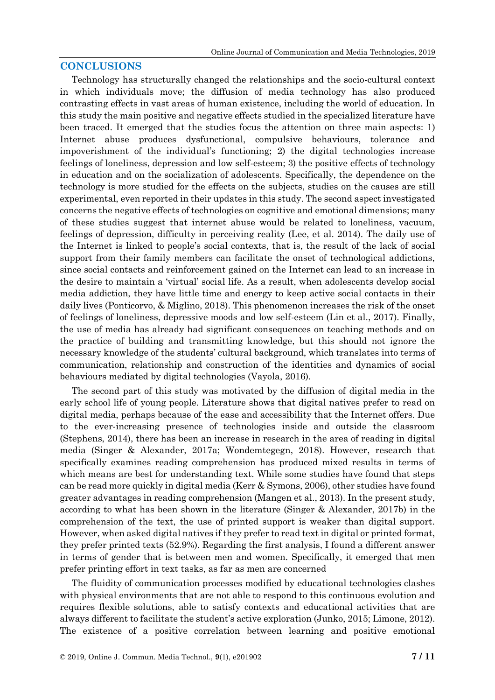## **CONCLUSIONS**

Technology has structurally changed the relationships and the socio-cultural context in which individuals move; the diffusion of media technology has also produced contrasting effects in vast areas of human existence, including the world of education. In this study the main positive and negative effects studied in the specialized literature have been traced. It emerged that the studies focus the attention on three main aspects: 1) Internet abuse produces dysfunctional, compulsive behaviours, tolerance and impoverishment of the individual's functioning; 2) the digital technologies increase feelings of loneliness, depression and low self-esteem; 3) the positive effects of technology in education and on the socialization of adolescents. Specifically, the dependence on the technology is more studied for the effects on the subjects, studies on the causes are still experimental, even reported in their updates in this study. The second aspect investigated concerns the negative effects of technologies on cognitive and emotional dimensions; many of these studies suggest that internet abuse would be related to loneliness, vacuum, feelings of depression, difficulty in perceiving reality (Lee, et al. 2014). The daily use of the Internet is linked to people's social contexts, that is, the result of the lack of social support from their family members can facilitate the onset of technological addictions, since social contacts and reinforcement gained on the Internet can lead to an increase in the desire to maintain a 'virtual' social life. As a result, when adolescents develop social media addiction, they have little time and energy to keep active social contacts in their daily lives (Ponticorvo, & Miglino, 2018). This phenomenon increases the risk of the onset of feelings of loneliness, depressive moods and low self-esteem (Lin et al., 2017). Finally, the use of media has already had significant consequences on teaching methods and on the practice of building and transmitting knowledge, but this should not ignore the necessary knowledge of the students' cultural background, which translates into terms of communication, relationship and construction of the identities and dynamics of social behaviours mediated by digital technologies (Vayola, 2016).

The second part of this study was motivated by the diffusion of digital media in the early school life of young people. Literature shows that digital natives prefer to read on digital media, perhaps because of the ease and accessibility that the Internet offers. Due to the ever-increasing presence of technologies inside and outside the classroom (Stephens, 2014), there has been an increase in research in the area of reading in digital media (Singer & Alexander, 2017a; Wondemtegegn, 2018). However, research that specifically examines reading comprehension has produced mixed results in terms of which means are best for understanding text. While some studies have found that steps can be read more quickly in digital media (Kerr & Symons, 2006), other studies have found greater advantages in reading comprehension (Mangen et al., 2013). In the present study, according to what has been shown in the literature (Singer & Alexander, 2017b) in the comprehension of the text, the use of printed support is weaker than digital support. However, when asked digital natives if they prefer to read text in digital or printed format, they prefer printed texts (52.9%). Regarding the first analysis, I found a different answer in terms of gender that is between men and women. Specifically, it emerged that men prefer printing effort in text tasks, as far as men are concerned

The fluidity of communication processes modified by educational technologies clashes with physical environments that are not able to respond to this continuous evolution and requires flexible solutions, able to satisfy contexts and educational activities that are always different to facilitate the student's active exploration (Junko, 2015; Limone, 2012). The existence of a positive correlation between learning and positive emotional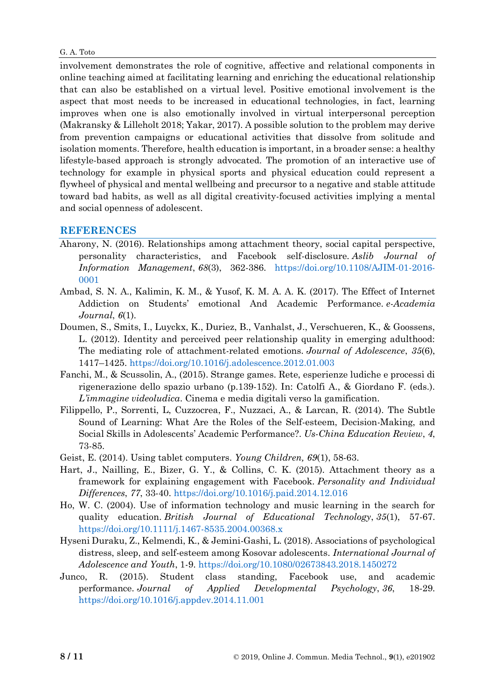involvement demonstrates the role of cognitive, affective and relational components in online teaching aimed at facilitating learning and enriching the educational relationship that can also be established on a virtual level. Positive emotional involvement is the aspect that most needs to be increased in educational technologies, in fact, learning improves when one is also emotionally involved in virtual interpersonal perception (Makransky & Lilleholt 2018; Yakar, 2017). A possible solution to the problem may derive from prevention campaigns or educational activities that dissolve from solitude and isolation moments. Therefore, health education is important, in a broader sense: a healthy lifestyle-based approach is strongly advocated. The promotion of an interactive use of technology for example in physical sports and physical education could represent a flywheel of physical and mental wellbeing and precursor to a negative and stable attitude toward bad habits, as well as all digital creativity-focused activities implying a mental and social openness of adolescent.

# **REFERENCES**

- Aharony, N. (2016). Relationships among attachment theory, social capital perspective, personality characteristics, and Facebook self-disclosure. *Aslib Journal of Information Management*, *68*(3), 362-386. [https://doi.org/10.1108/AJIM-01-2016-](https://doi.org/10.1108/AJIM-01-2016-0001) [0001](https://doi.org/10.1108/AJIM-01-2016-0001)
- Ambad, S. N. A., Kalimin, K. M., & Yusof, K. M. A. A. K. (2017). The Effect of Internet Addiction on Students' emotional And Academic Performance. *e-Academia Journal*, *6*(1).
- Doumen, S., Smits, I., Luyckx, K., Duriez, B., Vanhalst, J., Verschueren, K., & Goossens, L. (2012). Identity and perceived peer relationship quality in emerging adulthood: The mediating role of attachment-related emotions. *Journal of Adolescence*, *35*(6), 1417–1425.<https://doi.org/10.1016/j.adolescence.2012.01.003>
- Fanchi, M., & Scussolin, A., (2015). Strange games. Rete, esperienze ludiche e processi di rigenerazione dello spazio urbano (p.139-152). In: Catolfi A., & Giordano F. (eds.). *L'immagine videoludica*. Cinema e media digitali verso la gamification.
- Filippello, P., Sorrenti, L, Cuzzocrea, F., Nuzzaci, A., & Larcan, R. (2014). The Subtle Sound of Learning: What Are the Roles of the Self-esteem, Decision-Making, and Social Skills in Adolescents' Academic Performance?. *Us-China Education Review*, *4*, 73-85.
- Geist, E. (2014). Using tablet computers. *Young Children, 69*(1), 58-63.
- Hart, J., Nailling, E., Bizer, G. Y., & Collins, C. K. (2015). Attachment theory as a framework for explaining engagement with Facebook. *Personality and Individual Differences*, *77*, 33-40.<https://doi.org/10.1016/j.paid.2014.12.016>
- Ho, W. C. (2004). Use of information technology and music learning in the search for quality education. *British Journal of Educational Technology*, *35*(1), 57-67. <https://doi.org/10.1111/j.1467-8535.2004.00368.x>
- Hyseni Duraku, Z., Kelmendi, K., & Jemini-Gashi, L. (2018). Associations of psychological distress, sleep, and self-esteem among Kosovar adolescents. *International Journal of Adolescence and Youth*, 1-9.<https://doi.org/10.1080/02673843.2018.1450272>
- Junco, R. (2015). Student class standing, Facebook use, and academic performance. *Journal of Applied Developmental Psychology*, *36*, 18-29. <https://doi.org/10.1016/j.appdev.2014.11.001>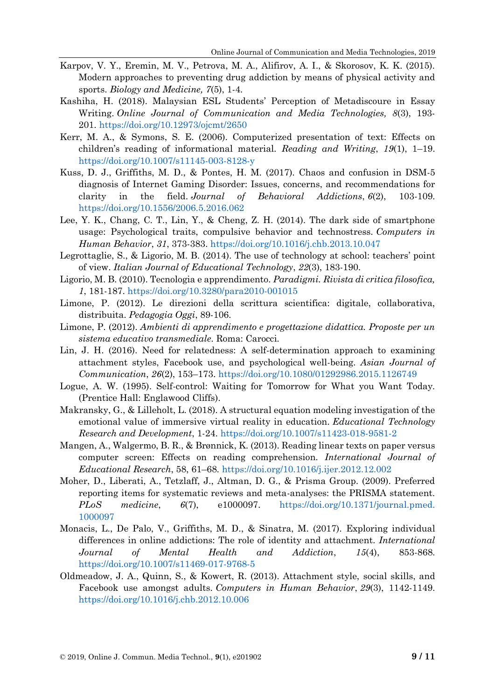- Karpov, V. Y., Eremin, M. V., Petrova, M. A., Alifirov, A. I., & Skorosov, K. K. (2015). Modern approaches to preventing drug addiction by means of physical activity and sports. *Biology and Medicine, 7*(5), 1-4.
- Kashiha, H. (2018). Malaysian ESL Students' Perception of Metadiscoure in Essay Writing. *Online Journal of Communication and Media Technologies, 8*(3), 193- 201. <https://doi.org/10.12973/ojcmt/2650>
- Kerr, M. A., & Symons, S. E. (2006). Computerized presentation of text: Effects on children's reading of informational material. *Reading and Writing*, *19*(1), 1–19. <https://doi.org/10.1007/s11145-003-8128-y>
- Kuss, D. J., Griffiths, M. D., & Pontes, H. M. (2017). Chaos and confusion in DSM-5 diagnosis of Internet Gaming Disorder: Issues, concerns, and recommendations for clarity in the field. *Journal of Behavioral Addictions*, *6*(2), 103-109. <https://doi.org/10.1556/2006.5.2016.062>
- Lee, Y. K., Chang, C. T., Lin, Y., & Cheng, Z. H. (2014). The dark side of smartphone usage: Psychological traits, compulsive behavior and technostress. *Computers in Human Behavior*, *31*, 373-383.<https://doi.org/10.1016/j.chb.2013.10.047>
- Legrottaglie, S., & Ligorio, M. B. (2014). The use of technology at school: teachers' point of view. *Italian Journal of Educational Technology*, *22*(3), 183-190.
- Ligorio, M. B. (2010). Tecnologia e apprendimento. *Paradigmi. Rivista di critica filosofica, 1*, 181-187.<https://doi.org/10.3280/para2010-001015>
- Limone, P. (2012). Le direzioni della scrittura scientifica: digitale, collaborativa, distribuita. *Pedagogia Oggi*, 89-106.
- Limone, P. (2012). *Ambienti di apprendimento e progettazione didattica. Proposte per un sistema educativo transmediale*. Roma: Carocci.
- Lin, J. H. (2016). Need for relatedness: A self-determination approach to examining attachment styles, Facebook use, and psychological well-being. *Asian Journal of Communication*, *26*(2), 153–173.<https://doi.org/10.1080/01292986.2015.1126749>
- Logue, A. W. (1995). Self-control: Waiting for Tomorrow for What you Want Today. (Prentice Hall: Englawood Cliffs).
- Makransky, G., & Lilleholt, L. (2018). A structural equation modeling investigation of the emotional value of immersive virtual reality in education. *Educational Technology Research and Development*, 1-24.<https://doi.org/10.1007/s11423-018-9581-2>
- Mangen, A., Walgermo, B. R., & Brønnick, K. (2013). Reading linear texts on paper versus computer screen: Effects on reading comprehension. *International Journal of Educational Research*, 58, 61–68. <https://doi.org/10.1016/j.ijer.2012.12.002>
- Moher, D., Liberati, A., Tetzlaff, J., Altman, D. G., & Prisma Group. (2009). Preferred reporting items for systematic reviews and meta-analyses: the PRISMA statement. *PLoS medicine*, *6*(7), e1000097. [https://doi.org/10.1371/journal.pmed.](https://doi.org/10.1371/journal.pmed.1000097) [1000097](https://doi.org/10.1371/journal.pmed.1000097)
- Monacis, L., De Palo, V., Griffiths, M. D., & Sinatra, M. (2017). Exploring individual differences in online addictions: The role of identity and attachment. *International Journal of Mental Health and Addiction*, *15*(4), 853-868. <https://doi.org/10.1007/s11469-017-9768-5>
- Oldmeadow, J. A., Quinn, S., & Kowert, R. (2013). Attachment style, social skills, and Facebook use amongst adults. *Computers in Human Behavior*, *29*(3), 1142-1149. <https://doi.org/10.1016/j.chb.2012.10.006>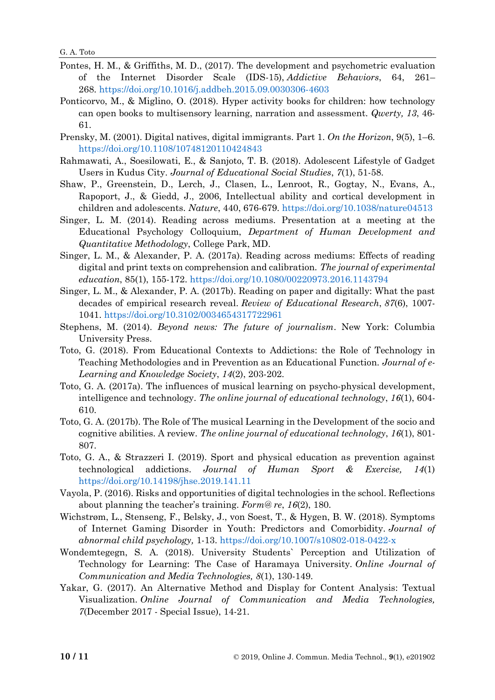G. A. Toto

- Pontes, H. M., & Griffiths, M. D., (2017). The development and psychometric evaluation of the Internet Disorder Scale (IDS-15), *Addictive Behaviors*, 64, 261– 268. <https://doi.org/10.1016/j.addbeh.2015.09.0030306-4603>
- Ponticorvo, M., & Miglino, O. (2018). Hyper activity books for children: how technology can open books to multisensory learning, narration and assessment. *Qwerty, 13*, 46- 61.
- Prensky, M. (2001). Digital natives, digital immigrants. Part 1. *On the Horizon*, 9(5), 1–6. <https://doi.org/10.1108/10748120110424843>
- Rahmawati, A., Soesilowati, E., & Sanjoto, T. B. (2018). Adolescent Lifestyle of Gadget Users in Kudus City. *Journal of Educational Social Studies*, *7*(1), 51-58.
- Shaw, P., Greenstein, D., Lerch, J., Clasen, L., Lenroot, R., Gogtay, N., Evans, A., Rapoport, J., & Giedd, J., 2006, Intellectual ability and cortical development in children and adolescents. *Nature*, 440, 676-679. <https://doi.org/10.1038/nature04513>
- Singer, L. M. (2014). Reading across mediums. Presentation at a meeting at the Educational Psychology Colloquium, *Department of Human Development and Quantitative Methodology*, College Park, MD.
- Singer, L. M., & Alexander, P. A. (2017a). Reading across mediums: Effects of reading digital and print texts on comprehension and calibration. *The journal of experimental education*, 85(1), 155-172.<https://doi.org/10.1080/00220973.2016.1143794>
- Singer, L. M., & Alexander, P. A. (2017b). Reading on paper and digitally: What the past decades of empirical research reveal. *Review of Educational Research*, *87*(6), 1007- 1041.<https://doi.org/10.3102/0034654317722961>
- Stephens, M. (2014). *Beyond news: The future of journalism*. New York: Columbia University Press.
- Toto, G. (2018). From Educational Contexts to Addictions: the Role of Technology in Teaching Methodologies and in Prevention as an Educational Function. *Journal of e-Learning and Knowledge Society*, *14*(2), 203-202.
- Toto, G. A. (2017a). The influences of musical learning on psycho-physical development, intelligence and technology. *The online journal of educational technology*, *16*(1), 604- 610.
- Toto, G. A. (2017b). The Role of The musical Learning in the Development of the socio and cognitive abilities. A review. *The online journal of educational technology*, *16*(1), 801- 807.
- Toto, G. A., & Strazzeri I. (2019). Sport and physical education as prevention against technological addictions. *Journal of Human Sport & Exercise, 14*(1) <https://doi.org/10.14198/jhse.2019.141.11>
- Vayola, P. (2016). Risks and opportunities of digital technologies in the school. Reflections about planning the teacher's training. *Form@ re*, *16*(2), 180.
- Wichstrøm, L., Stenseng, F., Belsky, J., von Soest, T., & Hygen, B. W. (2018). Symptoms of Internet Gaming Disorder in Youth: Predictors and Comorbidity. *Journal of abnormal child psychology,* 1-13. <https://doi.org/10.1007/s10802-018-0422-x>
- Wondemtegegn, S. A. (2018). University Students` Perception and Utilization of Technology for Learning: The Case of Haramaya University. *Online Journal of Communication and Media Technologies, 8*(1), 130-149.
- Yakar, G. (2017). An Alternative Method and Display for Content Analysis: Textual Visualization. *Online Journal of Communication and Media Technologies, 7*(December 2017 - Special Issue), 14-21.